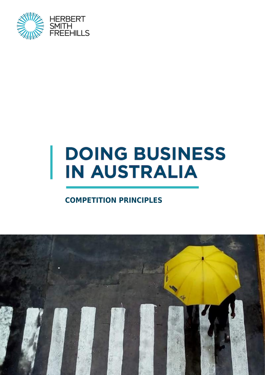

# **DOING BUSINESS IN AUSTRALIA**

### **COMPETITION PRINCIPLES**

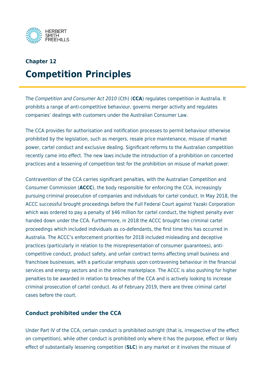

# **Chapter 12 Competition Principles**

The Competition and Consumer Act 2010 (Cth) (**CCA**) regulates competition in Australia. It prohibits a range of anti-competitive behaviour, governs merger activity and regulates companies' dealings with customers under the Australian Consumer Law.

The CCA provides for authorisation and notification processes to permit behaviour otherwise prohibited by the legislation, such as mergers, resale price maintenance, misuse of market power, cartel conduct and exclusive dealing. Significant reforms to the Australian competition recently came into effect. The new laws include the introduction of a prohibition on concerted practices and a lessening of competition test for the prohibition on misuse of market power.

Contravention of the CCA carries significant penalties, with the Australian Competition and Consumer Commission (**ACCC**), the body responsible for enforcing the CCA, increasingly pursuing criminal prosecution of companies and individuals for cartel conduct. In May 2018, the ACCC successful brought proceedings before the Full Federal Court against Yazaki Corporation which was ordered to pay a penalty of \$46 million for cartel conduct, the highest penalty ever handed down under the CCA. Furthermore, in 2018 the ACCC brought two criminal cartel proceedings which included individuals as co-defendants, the first time this has occurred in Australia. The ACCC's enforcement priorities for 2018 included misleading and deceptive practices (particularly in relation to the misrepresentation of consumer guarantees), anticompetitive conduct, product safety, and unfair contract terms affecting small business and franchisee businesses, with a particular emphasis upon contravening behaviour in the financial services and energy sectors and in the online marketplace. The ACCC is also pushing for higher penalties to be awarded in relation to breaches of the CCA and is actively looking to increase criminal prosecution of cartel conduct. As of February 2019, there are three criminal cartel cases before the court.

#### **Conduct prohibited under the CCA**

Under Part IV of the CCA, certain conduct is prohibited outright (that is, irrespective of the effect on competition), while other conduct is prohibited only where it has the purpose, effect or likely effect of substantially lessening competition (**SLC**) in any market or it involves the misuse of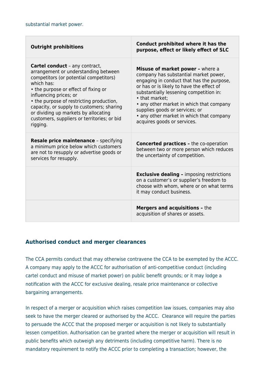| <b>Outright prohibitions</b>                                                                                                                                                                                                                                                                                                                                                                        | Conduct prohibited where it has the<br>purpose, effect or likely effect of SLC                                                                                                                                                                                                                                                                                                            |
|-----------------------------------------------------------------------------------------------------------------------------------------------------------------------------------------------------------------------------------------------------------------------------------------------------------------------------------------------------------------------------------------------------|-------------------------------------------------------------------------------------------------------------------------------------------------------------------------------------------------------------------------------------------------------------------------------------------------------------------------------------------------------------------------------------------|
| <b>Cartel conduct</b> - any contract,<br>arrangement or understanding between<br>competitors (or potential competitors)<br>which has:<br>• the purpose or effect of fixing or<br>influencing prices; or<br>• the purpose of restricting production,<br>capacity, or supply to customers; sharing<br>or dividing up markets by allocating<br>customers, suppliers or territories; or bid<br>rigging. | Misuse of market power - where a<br>company has substantial market power,<br>engaging in conduct that has the purpose,<br>or has or is likely to have the effect of<br>substantially lessening competition in:<br>• that market;<br>• any other market in which that company<br>supplies goods or services; or<br>• any other market in which that company<br>acquires goods or services. |
| <b>Resale price maintenance - specifying</b><br>a minimum price below which customers<br>are not to resupply or advertise goods or<br>services for resupply.                                                                                                                                                                                                                                        | <b>Concerted practices - the co-operation</b><br>between two or more person which reduces<br>the uncertainty of competition.                                                                                                                                                                                                                                                              |
|                                                                                                                                                                                                                                                                                                                                                                                                     | <b>Exclusive dealing - imposing restrictions</b><br>on a customer's or supplier's freedom to<br>choose with whom, where or on what terms<br>it may conduct business.                                                                                                                                                                                                                      |
|                                                                                                                                                                                                                                                                                                                                                                                                     | <b>Mergers and acquisitions - the</b><br>acquisition of shares or assets.                                                                                                                                                                                                                                                                                                                 |

#### **Authorised conduct and merger clearances**

The CCA permits conduct that may otherwise contravene the CCA to be exempted by the ACCC. A company may apply to the ACCC for authorisation of anti-competitive conduct (including cartel conduct and misuse of market power) on public benefit grounds; or it may lodge a notification with the ACCC for exclusive dealing, resale price maintenance or collective bargaining arrangements.

In respect of a merger or acquisition which raises competition law issues, companies may also seek to have the merger cleared or authorised by the ACCC. Clearance will require the parties to persuade the ACCC that the proposed merger or acquisition is not likely to substantially lessen competition. Authorisation can be granted where the merger or acquisition will result in public benefits which outweigh any detriments (including competitive harm). There is no mandatory requirement to notify the ACCC prior to completing a transaction; however, the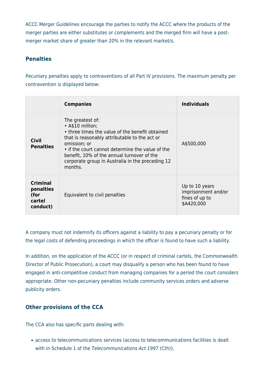ACCC Merger Guidelines encourage the parties to notify the ACCC where the products of the merger parties are either substitutes or complements and the merged firm will have a postmerger market share of greater than 20% in the relevant market/s.

#### **Penalties**

Pecuniary penalties apply to contraventions of all Part IV provisions. The maximum penalty per contravention is displayed below:

|                                                            | <b>Companies</b>                                                                                                                                                                                                                                                                                                          | <b>Individuals</b>                                                    |
|------------------------------------------------------------|---------------------------------------------------------------------------------------------------------------------------------------------------------------------------------------------------------------------------------------------------------------------------------------------------------------------------|-----------------------------------------------------------------------|
| Civil<br><b>Penalties</b>                                  | The greatest of:<br>• A\$10 million;<br>• three times the value of the benefit obtained<br>that is reasonably attributable to the act or<br>omission; or<br>• if the court cannot determine the value of the<br>benefit, 10% of the annual turnover of the<br>corporate group in Australia in the preceding 12<br>months. | A\$500,000                                                            |
| <b>Criminal</b><br>penalties<br>(for<br>cartel<br>conduct) | Equivalent to civil penalties                                                                                                                                                                                                                                                                                             | Up to 10 years<br>imprisonment and/or<br>fines of up to<br>\$A420,000 |

A company must not indemnify its officers against a liability to pay a pecuniary penalty or for the legal costs of defending proceedings in which the officer is found to have such a liability.

In addition, on the application of the ACCC (or in respect of criminal cartels, the Commonwealth Director of Public Prosecution), a court may disqualify a person who has been found to have engaged in anti-competitive conduct from managing companies for a period the court considers appropriate. Other non-pecuniary penalties include community services orders and adverse publicity orders.

#### **Other provisions of the CCA**

The CCA also has specific parts dealing with:

access to telecommunications services (access to telecommunications facilities is dealt with in Schedule 1 of the Telecommunications Act 1997 (Cth));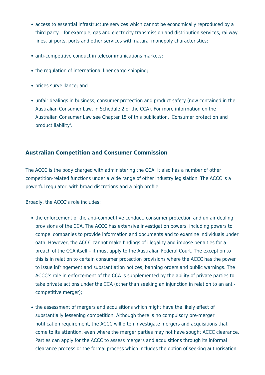- access to essential infrastructure services which cannot be economically reproduced by a third party – for example, gas and electricity transmission and distribution services, railway lines, airports, ports and other services with natural monopoly characteristics;
- anti-competitive conduct in telecommunications markets;
- the regulation of international liner cargo shipping;
- prices surveillance; and
- unfair dealings in business, consumer protection and product safety (now contained in the Australian Consumer Law, in Schedule 2 of the CCA). For more information on the Australian Consumer Law see Chapter 15 of this publication, 'Consumer protection and product liability'.

#### **Australian Competition and Consumer Commission**

The ACCC is the body charged with administering the CCA. It also has a number of other competition-related functions under a wide range of other industry legislation. The ACCC is a powerful regulator, with broad discretions and a high profile.

Broadly, the ACCC's role includes:

- the enforcement of the anti-competitive conduct, consumer protection and unfair dealing provisions of the CCA. The ACCC has extensive investigation powers, including powers to compel companies to provide information and documents and to examine individuals under oath. However, the ACCC cannot make findings of illegality and impose penalties for a breach of the CCA itself – it must apply to the Australian Federal Court. The exception to this is in relation to certain consumer protection provisions where the ACCC has the power to issue infringement and substantiation notices, banning orders and public warnings. The ACCC's role in enforcement of the CCA is supplemented by the ability of private parties to take private actions under the CCA (other than seeking an injunction in relation to an anticompetitive merger);
- the assessment of mergers and acquisitions which might have the likely effect of substantially lessening competition. Although there is no compulsory pre-merger notification requirement, the ACCC will often investigate mergers and acquisitions that come to its attention, even where the merger parties may not have sought ACCC clearance. Parties can apply for the ACCC to assess mergers and acquisitions through its informal clearance process or the formal process which includes the option of seeking authorisation